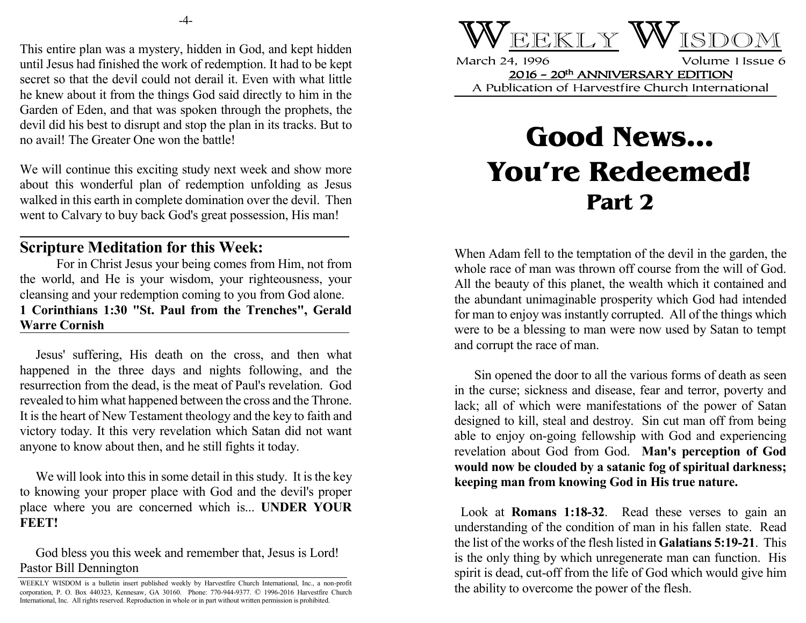This entire plan was a mystery, hidden in God, and kept hidden until Jesus had finished the work of redemption. It had to be kept secret so that the devil could not derail it. Even with what little he knew about it from the things God said directly to him in the Garden of Eden, and that was spoken through the prophets, the devil did his best to disrupt and stop the plan in its tracks. But to no avail! The Greater One won the battle!

We will continue this exciting study next week and show more about this wonderful plan of redemption unfolding as Jesus walked in this earth in complete domination over the devil. Then went to Calvary to buy back God's great possession, His man!

## **Scripture Meditation for this Week:**

For in Christ Jesus your being comes from Him, not from the world, and He is your wisdom, your righteousness, your cleansing and your redemption coming to you from God alone. **1 Corinthians 1:30 "St. Paul from the Trenches", Gerald Warre Cornish**

 Jesus' suffering, His death on the cross, and then what happened in the three days and nights following, and the resurrection from the dead, is the meat of Paul's revelation. God revealed to him what happened between the cross and the Throne. It is the heart of New Testament theology and the key to faith and victory today. It this very revelation which Satan did not want anyone to know about then, and he still fights it today.

 We will look into this in some detail in this study. It is the key to knowing your proper place with God and the devil's proper place where you are concerned which is... **UNDER YOUR FEET!**

 God bless you this week and remember that, Jesus is Lord! Pastor Bill Dennington



March 24, 1996 Volume 1 Issue 6 2016 - 20th ANNIVERSARY EDITION A Publication of Harvestfire Church International

## **Good News... You're Redeemed! Part 2**

When Adam fell to the temptation of the devil in the garden, the whole race of man was thrown off course from the will of God. All the beauty of this planet, the wealth which it contained and the abundant unimaginable prosperity which God had intended for man to enjoy was instantly corrupted. All of the things which were to be a blessing to man were now used by Satan to tempt and corrupt the race of man.

Sin opened the door to all the various forms of death as seen in the curse; sickness and disease, fear and terror, poverty and lack; all of which were manifestations of the power of Satan designed to kill, steal and destroy. Sin cut man off from being able to enjoy on-going fellowship with God and experiencing revelation about God from God. **Man's perception of God would now be clouded by a satanic fog of spiritual darkness; keeping man from knowing God in His true nature.**

 Look at **Romans 1:18-32**. Read these verses to gain an understanding of the condition of man in his fallen state. Read the list of the works of the flesh listed in **Galatians 5:19-21**. This is the only thing by which unregenerate man can function. His spirit is dead, cut-off from the life of God which would give him the ability to overcome the power of the flesh.

WEEKLY WISDOM is a bulletin insert published weekly by Harvestfire Church International, Inc., a non-profit corporation, P. O. Box 440323, Kennesaw, GA 30160. Phone: 770-944-9377. © 1996-2016 Harvestfire Church International, Inc. All rights reserved. Reproduction in whole or in part without written permission is prohibited.